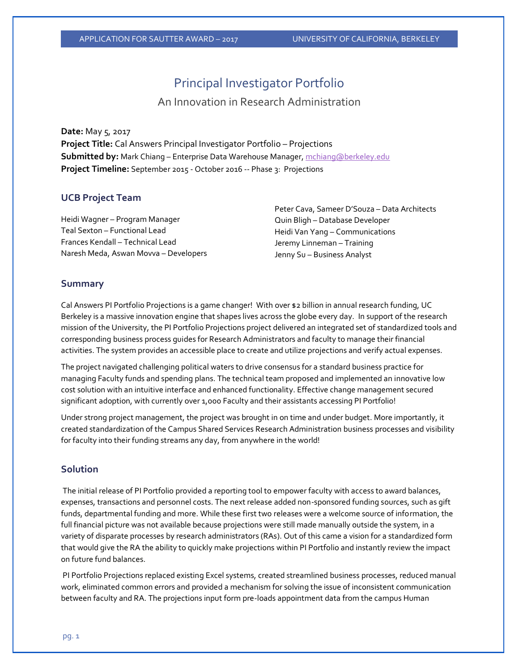# Principal Investigator Portfolio

An Innovation in Research Administration

#### **Date:** May 5, 2017

**Project Title:** Cal Answers Principal Investigator Portfolio – Projections **Submitted by:** Mark Chiang – Enterprise Data Warehouse Manager[, mchiang@berkeley.edu](mailto:mchiang@berkeley.edu) **Project Timeline:** September 2015 - October 2016 -- Phase 3: Projections

### **UCB Project Team**

Heidi Wagner – Program Manager Teal Sexton – Functional Lead Frances Kendall – Technical Lead Naresh Meda, Aswan Movva – Developers Peter Cava, Sameer D'Souza – Data Architects Quin Bligh – Database Developer Heidi Van Yang – Communications Jeremy Linneman – Training Jenny Su – Business Analyst

### **Summary**

Cal Answers PI Portfolio Projections is a game changer! With over \$2 billion in annual research funding, UC Berkeley is a massive innovation engine that shapes lives across the globe every day. In support of the research mission of the University, the PI Portfolio Projections project delivered an integrated set of standardized tools and corresponding business process guides for Research Administrators and faculty to manage their financial activities. The system provides an accessible place to create and utilize projections and verify actual expenses.

The project navigated challenging political waters to drive consensus for a standard business practice for managing Faculty funds and spending plans. The technical team proposed and implemented an innovative low cost solution with an intuitive interface and enhanced functionality. Effective change management secured significant adoption, with currently over 1,000 Faculty and their assistants accessing PI Portfolio!

Under strong project management, the project was brought in on time and under budget. More importantly, it created standardization of the Campus Shared Services Research Administration business processes and visibility for faculty into their funding streams any day, from anywhere in the world!

### **Solution**

The initial release of PI Portfolio provided a reporting tool to empower faculty with access to award balances, expenses, transactions and personnel costs. The next release added non-sponsored funding sources, such as gift funds, departmental funding and more. While these first two releases were a welcome source of information, the full financial picture was not available because projections were still made manually outside the system, in a variety of disparate processes by research administrators (RAs). Out of this came a vision for a standardized form that would give the RA the ability to quickly make projections within PI Portfolio and instantly review the impact on future fund balances.

PI Portfolio Projections replaced existing Excel systems, created streamlined business processes, reduced manual work, eliminated common errors and provided a mechanism for solving the issue of inconsistent communication between faculty and RA. The projections input form pre-loads appointment data from the campus Human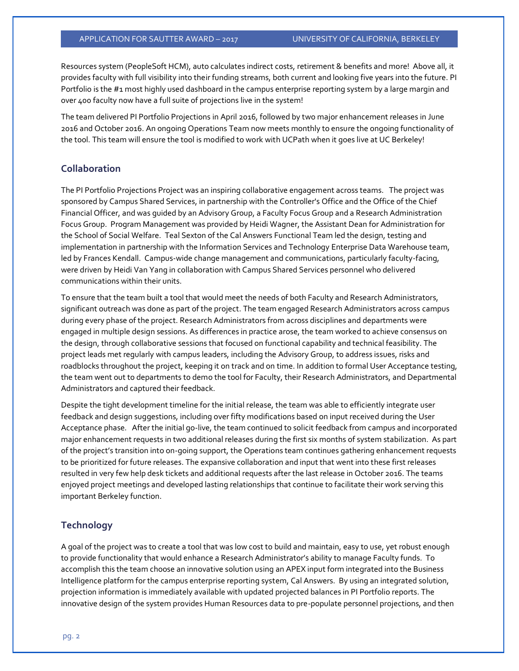Resources system (PeopleSoft HCM), auto calculates indirect costs, retirement & benefits and more! Above all, it provides faculty with full visibility into their funding streams, both current and looking five years into the future. PI Portfolio is the #1 most highly used dashboard in the campus enterprise reporting system by a large margin and over 400 faculty now have a full suite of projections live in the system!

The team delivered PI Portfolio Projections in April 2016, followed by two major enhancement releases in June 2016 and October 2016. An ongoing Operations Team now meets monthly to ensure the ongoing functionality of the tool. This team will ensure the tool is modified to work with UCPath when it goes live at UC Berkeley!

# **Collaboration**

The PI Portfolio Projections Project was an inspiring collaborative engagement across teams. The project was sponsored by Campus Shared Services, in partnership with the Controller's Office and the Office of the Chief Financial Officer, and was guided by an Advisory Group, a Faculty Focus Group and a Research Administration Focus Group. Program Management was provided by Heidi Wagner, the Assistant Dean for Administration for the School of Social Welfare. Teal Sexton of the Cal Answers Functional Team led the design, testing and implementation in partnership with the Information Services and Technology Enterprise Data Warehouse team, led by Frances Kendall. Campus-wide change management and communications, particularly faculty-facing, were driven by Heidi Van Yang in collaboration with Campus Shared Services personnel who delivered communications within their units.

To ensure that the team built a tool that would meet the needs of both Faculty and Research Administrators, significant outreach was done as part of the project. The team engaged Research Administrators across campus during every phase of the project. Research Administrators from across disciplines and departments were engaged in multiple design sessions. As differences in practice arose, the team worked to achieve consensus on the design, through collaborative sessions that focused on functional capability and technical feasibility. The project leads met regularly with campus leaders, including the Advisory Group, to address issues, risks and roadblocks throughout the project, keeping it on track and on time. In addition to formal User Acceptance testing, the team went out to departments to demo the tool for Faculty, their Research Administrators, and Departmental Administrators and captured their feedback.

Despite the tight development timeline for the initial release, the team was able to efficiently integrate user feedback and design suggestions, including over fifty modifications based on input received during the User Acceptance phase. After the initial go-live, the team continued to solicit feedback from campus and incorporated major enhancement requests in two additional releases during the first six months of system stabilization. As part of the project's transition into on-going support, the Operations team continues gathering enhancement requests to be prioritized for future releases. The expansive collaboration and input that went into these first releases resulted in very few help desk tickets and additional requests after the last release in October 2016. The teams enjoyed project meetings and developed lasting relationships that continue to facilitate their work serving this important Berkeley function.

#### **Technology**

A goal of the project was to create a tool that was low cost to build and maintain, easy to use, yet robust enough to provide functionality that would enhance a Research Administrator's ability to manage Faculty funds. To accomplish this the team choose an innovative solution using an APEX input form integrated into the Business Intelligence platform for the campus enterprise reporting system, Cal Answers. By using an integrated solution, projection information is immediately available with updated projected balances in PI Portfolio reports. The innovative design of the system provides Human Resources data to pre-populate personnel projections, and then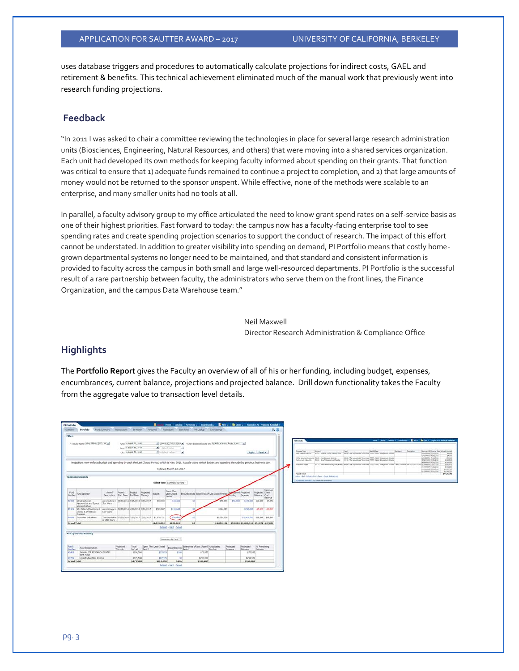uses database triggers and procedures to automatically calculate projections for indirect costs, GAEL and retirement & benefits. This technical achievement eliminated much of the manual work that previously went into research funding projections.

# **Feedback**

"In 2011 I was asked to chair a committee reviewing the technologies in place for several large research administration units (Biosciences, Engineering, Natural Resources, and others) that were moving into a shared services organization. Each unit had developed its own methods for keeping faculty informed about spending on their grants. That function was critical to ensure that 1) adequate funds remained to continue a project to completion, and 2) that large amounts of money would not be returned to the sponsor unspent. While effective, none of the methods were scalable to an enterprise, and many smaller units had no tools at all.

In parallel, a faculty advisory group to my office articulated the need to know grant spend rates on a self-service basis as one of their highest priorities. Fast forward to today: the campus now has a faculty-facing enterprise tool to see spending rates and create spending projection scenarios to support the conduct of research. The impact of this effort cannot be understated. In addition to greater visibility into spending on demand, PI Portfolio means that costly homegrown departmental systems no longer need to be maintained, and that standard and consistent information is provided to faculty across the campus in both small and large well-resourced departments. PI Portfolio is the successful result of a rare partnership between faculty, the administrators who serve them on the front lines, the Finance Organization, and the campus Data Warehouse team."

> Neil Maxwell Director Research Administration & Compliance Office

## **Highlights**

The **Portfolio Report** gives the Faculty an overview of all of his or her funding, including budget, expenses, encumbrances, current balance, projections and projected balance. Drill down functionality takes the Faculty from the aggregate value to transaction level details.

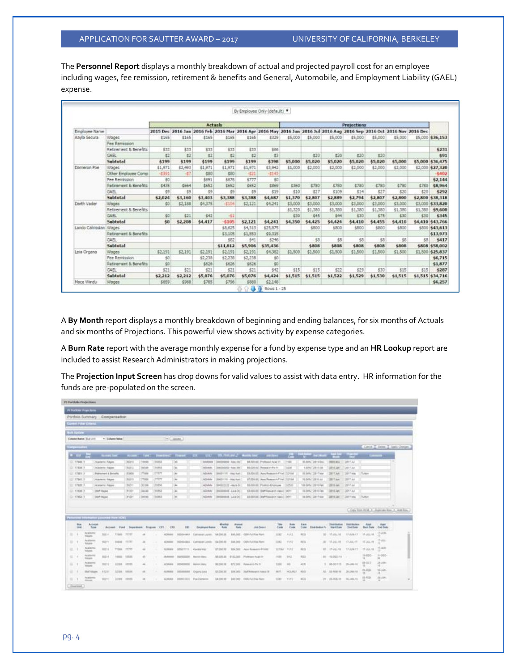The **Personnel Report** displays a monthly breakdown of actual and projected payroll cost for an employee including wages, fee remission, retirement & benefits and General, Automobile, and Employment Liability (GAEL) expense.

|                      |                       |         |         | <b>Actuals</b> |          |         |          |         |         |                                                                                                                      | <b>Projections</b> |         |         |         |                  |
|----------------------|-----------------------|---------|---------|----------------|----------|---------|----------|---------|---------|----------------------------------------------------------------------------------------------------------------------|--------------------|---------|---------|---------|------------------|
| <b>Employee Name</b> |                       |         |         |                |          |         |          |         |         | 2015 Dec 2016 Jan 2016 Feb 2016 Mar 2016 Apr 2016 May 2016 Jun 2016 Jul 2016 Aug 2016 Sep 2016 Oct 2016 Nov 2016 Dec |                    |         |         |         |                  |
| Aavia Secura         | Wages                 | \$165   | \$165   | \$165          | \$165    | \$165   | \$329    | \$5,000 | \$5,000 | \$5,000                                                                                                              | \$5,000            | \$5,000 | \$5,000 |         | \$5,000 \$36,153 |
|                      | Fee Remission         |         |         |                |          |         |          |         |         |                                                                                                                      |                    |         |         |         |                  |
|                      | Retirement & Benefits | \$33    | \$33    | \$33           | \$33     | \$33    | \$66     |         |         |                                                                                                                      |                    |         |         |         | \$231            |
|                      | GAR.                  | $^{*2}$ | \$2     | \$2            | \$2      | \$2     | 83       |         | \$20    | 220                                                                                                                  | \$20               | \$20    |         |         | \$91             |
|                      | Subtotal              | \$199   | \$199   | \$199          | \$199    | \$199   | \$398    | \$5,000 | \$5,020 | \$5,020                                                                                                              | \$5,020            | \$5,020 | \$5,000 | \$5,000 | \$36,475         |
| Dameron Poe          | Wages                 | \$1,971 | \$2,493 | \$1,971        | \$1,971  | \$1,971 | \$3,942  | \$1,000 | \$2,000 | \$2,000                                                                                                              | \$2,000            | \$2,000 | \$2,000 | \$2,000 | \$27,320         |
|                      | Other Employee Comp   | $-5391$ | $-37$   | \$80           | \$80     | $-521$  | $-5143$  |         |         |                                                                                                                      |                    |         |         |         | $-5402$          |
|                      | Fee Remission         | 50      |         | \$693          | \$676    | \$777   | 90       |         |         |                                                                                                                      |                    |         |         |         | \$2,144          |
|                      | Retirement & Benefits | \$435   | \$664   | <b>\$652</b>   | \$652    | \$652   | \$969    | \$360   | \$780   | \$780                                                                                                                | \$780              | \$788   | \$780   | \$780   | \$8,964          |
|                      | GAEL                  | \$9     | \$9     | \$9            | \$9      | \$9     | \$19     | \$10    | \$27    | \$109                                                                                                                | \$14               | \$27    | \$20    | \$20    | \$292            |
|                      | Subtotal              | \$2,024 | \$3,160 | \$3,403        | \$3,388  | \$3,388 | \$4,687  | \$1,370 | \$2,807 | \$2,889                                                                                                              | \$2,794            | \$2,807 | \$2,800 | \$2,800 | \$38,318         |
| Darth Vader          | Wages                 | \$0     | \$2,188 | \$4,375        | $-5104$  | 62,121  | \$4,241  | \$3,000 | \$3,000 | \$3,000                                                                                                              | \$3,000            | \$3,000 | \$3,000 | \$3,000 | \$33,820         |
|                      | Retirement & Benefits |         |         |                |          |         |          | \$1,320 | \$1,380 | \$1,380                                                                                                              | \$1,380            | \$1,380 | \$1,380 | \$1,380 | \$9,600          |
|                      | GAEL                  | \$0     | \$21    | 542            | -81      |         |          | \$30    | \$45    | 544                                                                                                                  | \$30               | \$75    | \$30    | \$30    | \$345            |
|                      | Subtotal              | \$0     | \$2,208 | \$4,417        | $-5105$  | \$2,121 | \$4,241  | \$4,350 | \$4,425 | \$4,424                                                                                                              | \$4,410            | \$4,455 | \$4,410 | \$4,410 | \$43,766         |
| Lando Calrissian     | Wages                 |         |         |                | \$8,625  | \$4,313 | \$25,875 |         | \$800   | \$800                                                                                                                | \$800              | \$800   | \$800   |         | \$800 \$43,613   |
|                      | Retirement & Benefits |         |         |                | \$3,105  | \$1,553 | \$9,315  |         |         |                                                                                                                      |                    |         |         |         | \$13,973         |
|                      | GAFL                  |         |         |                | \$82     | \$41    | \$246    |         | 58      | \$8                                                                                                                  | \$8                | \$8     | 58      | 58      | \$417            |
|                      | Subtotal              |         |         |                | \$11,812 | \$5,906 | \$35,436 |         | \$808   | \$808                                                                                                                | \$808              | \$808   | \$808   | 4808    | \$58,002         |
| Leia Organa          | Wages                 | \$2,191 | \$2,191 | \$2,191        | \$2,191  | \$2,191 | \$4,382  | \$1,500 | \$1,500 | \$1,500                                                                                                              | \$1,500            | \$1,500 | \$1,500 |         | \$1,500 \$25,837 |
|                      | Fee Remission         | 50      |         | \$2,238        | 42.238   | \$2,238 | \$0      |         |         |                                                                                                                      |                    |         |         |         | \$6,715          |
|                      | Retirement & Benefits | \$0     |         | \$626          | \$626    | \$626   | \$0      |         |         |                                                                                                                      |                    |         |         |         | \$1.877          |
|                      | GAFL.                 | \$21    | \$21    | \$21           | \$21     | \$21    | \$42     | \$15    | \$15    | \$22                                                                                                                 | \$29               | \$30    | \$15    | \$15    | \$287            |
|                      | Subtotal              | \$2,212 | \$2,212 | \$5,076        | \$5,076  | \$5,076 | \$4,424  | \$1,515 | \$1,515 | \$1,522                                                                                                              | \$1,529            | \$1,530 | \$1,515 |         | \$1,515 \$34,716 |
| Mace Windu           | Wages                 | \$659   | \$988   | \$705          | \$798    | \$580   | \$2.140  |         |         |                                                                                                                      |                    |         |         |         | \$6,257          |

A **By Month** report displays a monthly breakdown of beginning and ending balances, for six months of Actuals and six months of Projections. This powerful view shows activity by expense categories.

A **Burn Rate** report with the average monthly expense for a fund by expense type and an **HR Lookup** report are included to assist Research Administrators in making projections.

The **Projection Input Screen** has drop downs for valid values to assist with data entry. HR information for the funds are pre-populated on the screen.

| PE PUPIDAL Project books                                                                      |                                                     |                              |                         |                     |                             |                   |                 |                                                                                     |                                             |                           |                                                    |                                                                                |              |             |                                                                                                |                     |                             |                                  |                                                              |  |
|-----------------------------------------------------------------------------------------------|-----------------------------------------------------|------------------------------|-------------------------|---------------------|-----------------------------|-------------------|-----------------|-------------------------------------------------------------------------------------|---------------------------------------------|---------------------------|----------------------------------------------------|--------------------------------------------------------------------------------|--------------|-------------|------------------------------------------------------------------------------------------------|---------------------|-----------------------------|----------------------------------|--------------------------------------------------------------|--|
|                                                                                               | Portfolio Summary Compensation                      |                              |                         |                     |                             |                   |                 |                                                                                     |                                             |                           |                                                    |                                                                                |              |             |                                                                                                |                     |                             |                                  |                                                              |  |
| CLAIMER PERSON CONSIGN.                                                                       |                                                     |                              |                         |                     |                             |                   |                 |                                                                                     |                                             |                           |                                                    |                                                                                |              |             |                                                                                                |                     |                             |                                  |                                                              |  |
| <b>Salt Homes</b>                                                                             |                                                     |                              |                         |                     |                             |                   |                 |                                                                                     |                                             |                           |                                                    |                                                                                |              |             |                                                                                                |                     |                             |                                  |                                                              |  |
| Colonic Market, Bud Link                                                                      | * Column Water                                      |                              |                         |                     |                             | 14 L. Listan      |                 |                                                                                     |                                             |                           |                                                    |                                                                                |              |             |                                                                                                |                     |                             |                                  |                                                              |  |
| <b>DEPARTMENT</b>                                                                             |                                                     |                              |                         |                     |                             |                   |                 |                                                                                     |                                             |                           |                                                    |                                                                                |              |             |                                                                                                |                     |                             |                                  | Care C. Came L. Ards Charges                                 |  |
|                                                                                               |                                                     |                              |                         |                     |                             |                   |                 |                                                                                     |                                             |                           |                                                    |                                                                                |              |             |                                                                                                |                     |                             |                                  |                                                              |  |
| $-11$                                                                                         |                                                     |                              |                         |                     |                             |                   |                 | According Accords fort Downsell House, Cit., City, CO-Private C. Montcher, continue |                                             |                           |                                                    |                                                                                | $\epsilon$   |             | <b>Contract Service</b>                                                                        |                     |                             | <b>START OF</b>                  | $\sim$                                                       |  |
| LE. 17660-11                                                                                  | Academy Adves                                       |                              | $-10211$                | 10000               | IISM-                       | 1340              |                 | <b><i>SHARAS</i></b>                                                                | 39000000-May He                             |                           |                                                    | \$1,000 ST. Professor Acid VI                                                  | 77156        |             | 69.000c 2014 Sec                                                                               | <b>NHE 244</b>      | 3811 Ad                     |                                  |                                                              |  |
| D. 17838.1                                                                                    | Alademy Street                                      |                              | ESSI                    | 34148<br><b>PAM</b> | <b>HEARS</b><br><b>STTW</b> | $\rightarrow$     |                 | AESAMA                                                                              | 380003000-Allan Mr                          |                           |                                                    | 68.000-02 - Research-Pa Int                                                    | 14,036       |             | 1,00% 2818.04                                                                                  | 2414,266            | <b>CREET Just</b>           |                                  |                                                              |  |
| (2) (TBB)<br>U. 17941.75                                                                      | <b>Politicians &amp; Security</b><br>Assorter Wagen |                              | 3,459<br>34319          | 77886               | <b>ITTWO</b>                | 144<br>144        |                 | <b>MTMMA</b><br>AESIMIN                                                             | 98001111 - (Feb 9.44)<br>88001111- Blac Ran |                           |                                                    | \$1,000 ST. Apr Ressout PV M. 32186<br><b>AT 000-RK (Associates PVA)</b> TELMA |              |             | III 80% 281 Faia<br>F6.00% 3/8.5 AU                                                            | 28TF.AA<br>381T am  | <b>JIFF FARM</b><br>2017 Au | Tuker                            |                                                              |  |
| U. THIS !!                                                                                    | Ananamo Wages                                       |                              | 5/211                   | 3,3104              | 198888                      | 144               |                 | AEIMMA                                                                              | 99002332-44y4-5                             |                           |                                                    | M.000 III Franco-Engineer                                                      | 132520       |             | 108 00% 29 15 Feb                                                                              | 2816 Jan            | 3917 AV                     |                                  |                                                              |  |
|                                                                                               |                                                     |                              |                         |                     |                             |                   |                 |                                                                                     |                                             |                           |                                                    |                                                                                |              |             |                                                                                                |                     |                             |                                  |                                                              |  |
|                                                                                               | <b>Shaff (faces)</b>                                |                              | 5:211                   | issist              | <b>HEARS</b>                | las.              |                 | AEXAMA                                                                              | H1000H16E-Lake-Ont                          |                           |                                                    | \$1,000.00. Nearl Research Assoc. DAYY                                         |              |             | 19.00% 2816 Fax                                                                                | 3818.265            | <b>John Public</b>          |                                  |                                                              |  |
|                                                                                               | <b>Daft Paced</b>                                   |                              | 310H                    | 94048               | 11555                       | $-44$<br>         |                 | ASIANNA<br><b>NEW YORK</b>                                                          | INSODERER - LAG OIL                         |                           |                                                    | 11000-01 State Kinsash Ratio 20015                                             |              |             | 10,000 - 2017 Sat                                                                              | $2311 \text{ km}$   | <b>JOST MAX</b>             | Culture                          |                                                              |  |
| Box.                                                                                          | <b>COUNTRY TWO INCORP.</b><br>Account               |                              |                         |                     |                             |                   |                 |                                                                                     | Monthly                                     | Annual                    |                                                    | Tills                                                                          | <b>Basi</b>  | Fare        |                                                                                                | <b>Distribution</b> | <b>Their Audion</b>         | Aug 2                            | L. Canchard H.M. L. Dankster Ros. T. Ant Ros.<br><b>Kask</b> |  |
| <b>Should</b><br><b>RCBOWITE</b>                                                              | Type<br>Account Fund                                |                              | Department Frogram [F7] |                     |                             | CTE               | 16              | <b>Ematype Name</b>                                                                 | Babi                                        | <b><i><u>Nata</u></i></b> | Job Deach                                          | Civile                                                                         | Code         | Cole        | <b>Eightington To</b>                                                                          | <b>Mark Diam</b>    | Tod Date                    | <b>Share Cure</b>                | <b>End Eate</b><br>17-3.81                                   |  |
| Tribbes:<br>Rushmos                                                                           | 30231.                                              | <b>Than</b><br><b>EXECUT</b> | <b>TUTTI</b><br>TITT    | 44.1                |                             | ALMM1<br>AT THEFT | 00004448        | TURTINING LANGE                                                                     | 54.000.00<br>\$4,000.00                     | <b>BALDOS</b><br>844,000  | <b>COSM J'ust Fase Hunts</b><br>GREE Full Else Rom | 3110                                                                           | <b>TIVE</b>  | REG.        | m                                                                                              | 10.49.76            | SFULNE ET                   | 11:02:18                         | e.<br>17-881                                                 |  |
| Posper<br><b>PLAINTS:</b>                                                                     | <b>THEFT</b>                                        |                              |                         | 48                  |                             |                   |                 | 00004446 Calliston Levin                                                            |                                             |                           |                                                    | <b>TIRG</b>                                                                    | TINE         | HIG.        | $\equiv$                                                                                       | 17.22.78            | <b>TAL</b> -IT              | 开高产                              | 17.026                                                       |  |
| Volpes.                                                                                       | 10216                                               | 11004                        | FOUT                    | $+$                 |                             | <b>MARK</b>       | 02001111        | Kirida Mac                                                                          | 31:000 IB                                   | 354,000                   | Asks Résearch #1 680                               | 31194                                                                          | 1011         | 340         | $\frac{1}{2} \left( \frac{1}{2} \right) \left( \frac{1}{2} \right) \left( \frac{1}{2} \right)$ | 17.22.19            | 17 JUNE 17                  | 1102.18                          | $\frac{1}{2}$                                                |  |
| Aradams<br>Progress                                                                           | 10219                                               | terms.                       | SANAA                   | 45                  |                             | <b>Multimed</b>   | <b>DOUGLASS</b> | MAND REST                                                                           | \$4,000.00                                  | \$182,000                 | Philippine Acad IV                                 | TOW                                                                            | wt2          | 955         | 16                                                                                             | $-10-04(3-14)$      |                             | $+000$<br>$\mathbb{Z}$           | F-005<br>$\mathbb{H}$                                        |  |
| <b>Academy</b><br><b>PERSONAL</b>                                                             | THEFT                                               | 1134.                        | <b>STEED</b>            | 46                  |                             | ADAME             | 00000000        | MARKETING                                                                           | B110001H                                    | 471,000                   | Polandert Pla 31                                   | 1104                                                                           | $\mathbf{m}$ | ALL BY      |                                                                                                | 9. IR-DETH-         | 25, 261.16                  | 03-047                           | 28.169<br>m.                                                 |  |
| 12. 17836 F<br>O: 1962<br>٠<br>$12 - 1$<br>43.14<br>41.1<br>66.71<br>Staff Silipper.<br>11.14 | strm                                                | town.                        | <b>ARRIVER</b>          | $A\bar{A}$          |                             | <b>ALMAS</b>      | DOORHEAR        | Chiana Leva                                                                         | \$1,000,000                                 | EN AU                     | <b>STAFF RAAKWOOD ASAID TO</b>                     | 3833                                                                           | W(3, 3)      | <b>NAIS</b> | $100 - 100$                                                                                    | 31702.9             | 29.040.15                   | $L1+LB$<br>$\frac{11}{11}$ (10). | 28 JAP<br>16.                                                |  |